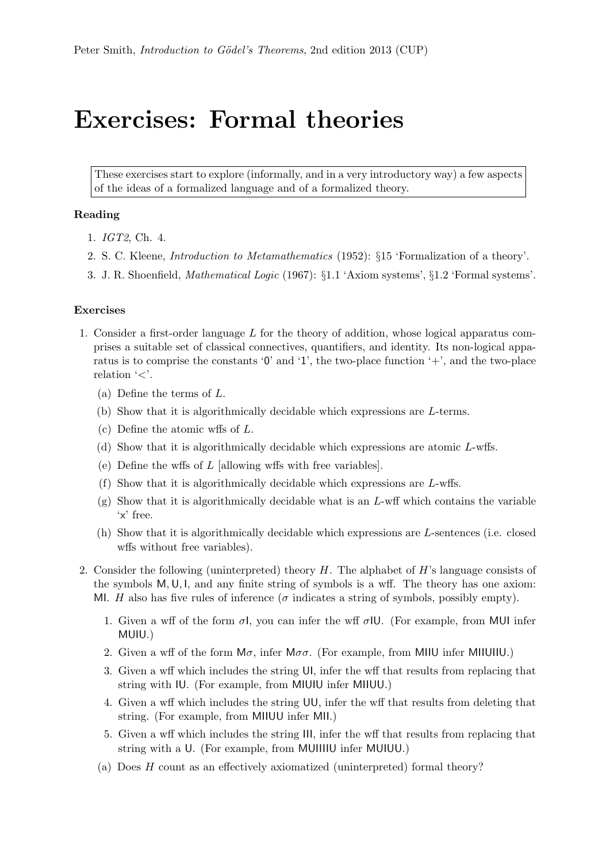## Exercises: Formal theories

These exercises start to explore (informally, and in a very introductory way) a few aspects of the ideas of a formalized language and of a formalized theory.

## Reading

- 1. IGT2, Ch. 4.
- 2. S. C. Kleene, Introduction to Metamathematics (1952): §15 'Formalization of a theory'.
- 3. J. R. Shoenfield, Mathematical Logic (1967): §1.1 'Axiom systems', §1.2 'Formal systems'.

## Exercises

- 1. Consider a first-order language L for the theory of addition, whose logical apparatus comprises a suitable set of classical connectives, quantifiers, and identity. Its non-logical apparatus is to comprise the constants  $\mathbf{0}'$  and  $\mathbf{1}'$ , the two-place function  $\mathbf{0}'$ , and the two-place relation  $\leq$ .
	- (a) Define the terms of L.
	- (b) Show that it is algorithmically decidable which expressions are L-terms.
	- (c) Define the atomic wffs of L.
	- (d) Show that it is algorithmically decidable which expressions are atomic L-wffs.
	- (e) Define the wffs of  $L$  [allowing wffs with free variables].
	- (f) Show that it is algorithmically decidable which expressions are L-wffs.
	- $(g)$  Show that it is algorithmically decidable what is an L-wff which contains the variable 'x' free.
	- (h) Show that it is algorithmically decidable which expressions are L-sentences (i.e. closed wffs without free variables).
- 2. Consider the following (uninterpreted) theory  $H$ . The alphabet of  $H$ 's language consists of the symbols  $M, U, I$ , and any finite string of symbols is a wff. The theory has one axiom: MI. H also has five rules of inference ( $\sigma$  indicates a string of symbols, possibly empty).
	- 1. Given a wff of the form  $\sigma I$ , you can infer the wff  $\sigma IU$ . (For example, from MUI infer MUIU.)
	- 2. Given a wff of the form  $M\sigma$ , infer  $M\sigma$ . (For example, from MIIU infer MIIUIIU.)
	- 3. Given a wff which includes the string UI, infer the wff that results from replacing that string with IU. (For example, from MIUIU infer MIIUU.)
	- 4. Given a wff which includes the string UU, infer the wff that results from deleting that string. (For example, from MIIUU infer MII.)
	- 5. Given a wff which includes the string III, infer the wff that results from replacing that string with a U. (For example, from MUIIIIU infer MUIUU.)
	- (a) Does H count as an effectively axiomatized (uninterpreted) formal theory?